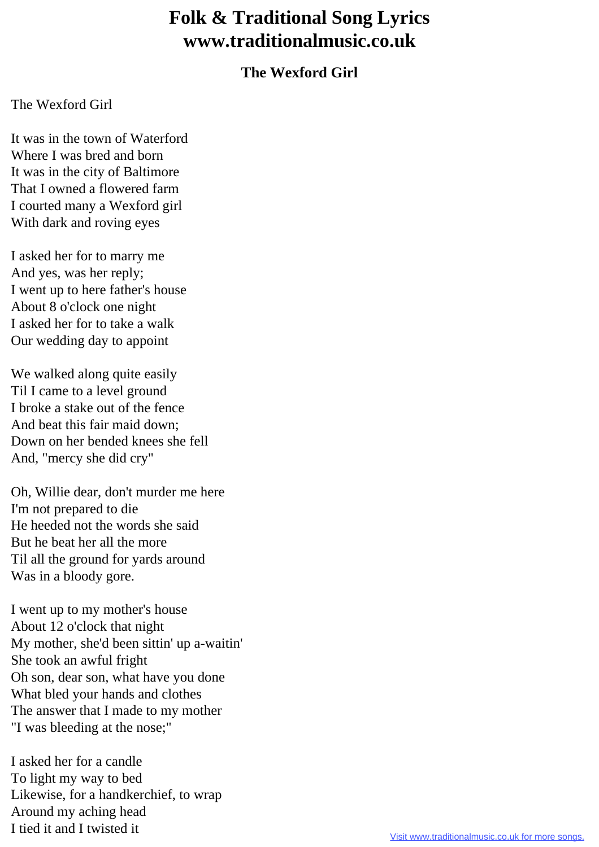## **Folk & Traditional Song Lyrics www.traditionalmusic.co.uk**

## **The Wexford Girl**

## The Wexford Girl

It was in the town of Waterford Where I was bred and born It was in the city of Baltimore That I owned a flowered farm I courted many a Wexford girl With dark and roving eyes

I asked her for to marry me And yes, was her reply; I went up to here father's house About 8 o'clock one night I asked her for to take a walk Our wedding day to appoint

We walked along quite easily Til I came to a level ground I broke a stake out of the fence And beat this fair maid down; Down on her bended knees she fell And, "mercy she did cry"

Oh, Willie dear, don't murder me here I'm not prepared to die He heeded not the words she said But he beat her all the more Til all the ground for yards around Was in a bloody gore.

I went up to my mother's house About 12 o'clock that night My mother, she'd been sittin' up a-waitin' She took an awful fright Oh son, dear son, what have you done What bled your hands and clothes The answer that I made to my mother "I was bleeding at the nose;"

I asked her for a candle To light my way to bed Likewise, for a handkerchief, to wrap Around my aching head I tied it and I twisted it